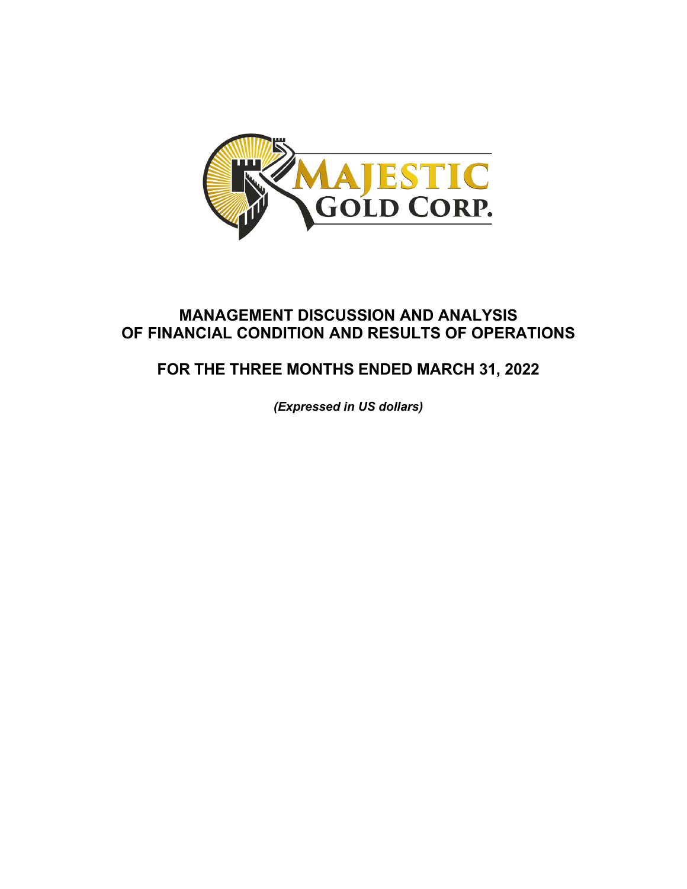

## **MANAGEMENT DISCUSSION AND ANALYSIS OF FINANCIAL CONDITION AND RESULTS OF OPERATIONS**

# **FOR THE THREE MONTHS ENDED MARCH 31, 2022**

*(Expressed in US dollars)*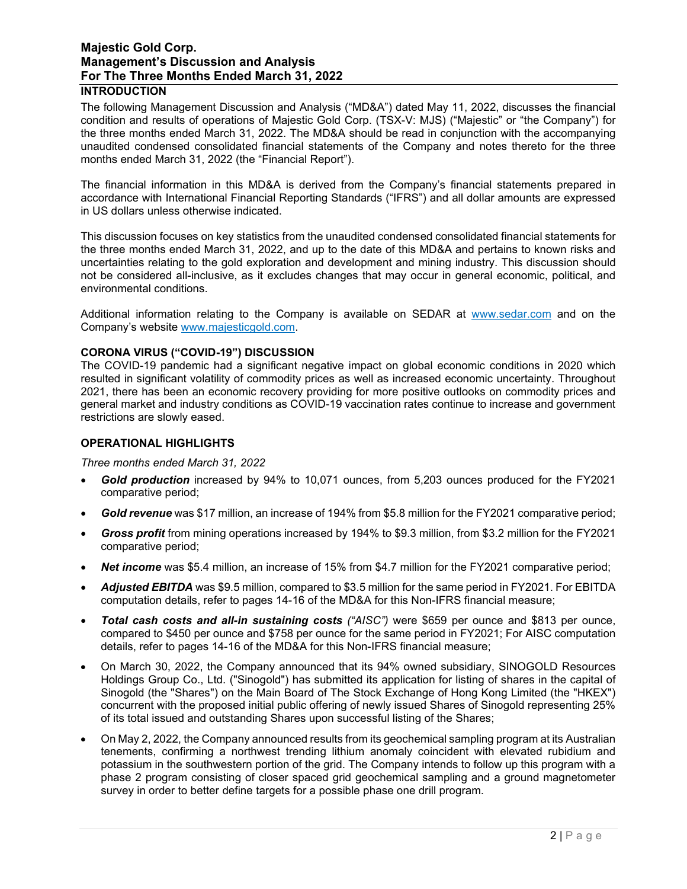## **INTRODUCTION**

The following Management Discussion and Analysis ("MD&A") dated May 11, 2022, discusses the financial condition and results of operations of Majestic Gold Corp. (TSX-V: MJS) ("Majestic" or "the Company") for the three months ended March 31, 2022. The MD&A should be read in conjunction with the accompanying unaudited condensed consolidated financial statements of the Company and notes thereto for the three months ended March 31, 2022 (the "Financial Report").

The financial information in this MD&A is derived from the Company's financial statements prepared in accordance with International Financial Reporting Standards ("IFRS") and all dollar amounts are expressed in US dollars unless otherwise indicated.

This discussion focuses on key statistics from the unaudited condensed consolidated financial statements for the three months ended March 31, 2022, and up to the date of this MD&A and pertains to known risks and uncertainties relating to the gold exploration and development and mining industry. This discussion should not be considered all-inclusive, as it excludes changes that may occur in general economic, political, and environmental conditions.

Additional information relating to the Company is available on SEDAR at [www.sedar.com](http://www.sedar.com/) and on the Company's website [www.majesticgold.com.](http://www.majesticgold.com/)

#### **CORONA VIRUS ("COVID-19") DISCUSSION**

The COVID-19 pandemic had a significant negative impact on global economic conditions in 2020 which resulted in significant volatility of commodity prices as well as increased economic uncertainty. Throughout 2021, there has been an economic recovery providing for more positive outlooks on commodity prices and general market and industry conditions as COVID-19 vaccination rates continue to increase and government restrictions are slowly eased.

#### **OPERATIONAL HIGHLIGHTS**

#### *Three months ended March 31, 2022*

- *Gold production* increased by 94% to 10,071 ounces, from 5,203 ounces produced for the FY2021 comparative period;
- *Gold revenue* was \$17 million, an increase of 194% from \$5.8 million for the FY2021 comparative period;
- *Gross profit* from mining operations increased by 194% to \$9.3 million, from \$3.2 million for the FY2021 comparative period;
- *Net income* was \$5.4 million, an increase of 15% from \$4.7 million for the FY2021 comparative period;
- *Adjusted EBITDA* was \$9.5 million, compared to \$3.5 million for the same period in FY2021. For EBITDA computation details, refer to pages 14-16 of the MD&A for this Non-IFRS financial measure;
- *Total cash costs and all-in sustaining costs ("AISC")* were \$659 per ounce and \$813 per ounce, compared to \$450 per ounce and \$758 per ounce for the same period in FY2021; For AISC computation details, refer to pages 14-16 of the MD&A for this Non-IFRS financial measure;
- On March 30, 2022, the Company announced that its 94% owned subsidiary, SINOGOLD Resources Holdings Group Co., Ltd. ("Sinogold") has submitted its application for listing of shares in the capital of Sinogold (the "Shares") on the Main Board of The Stock Exchange of Hong Kong Limited (the "HKEX") concurrent with the proposed initial public offering of newly issued Shares of Sinogold representing 25% of its total issued and outstanding Shares upon successful listing of the Shares;
- On May 2, 2022, the Company announced results from its geochemical sampling program at its Australian tenements, confirming a northwest trending lithium anomaly coincident with elevated rubidium and potassium in the southwestern portion of the grid. The Company intends to follow up this program with a phase 2 program consisting of closer spaced grid geochemical sampling and a ground magnetometer survey in order to better define targets for a possible phase one drill program.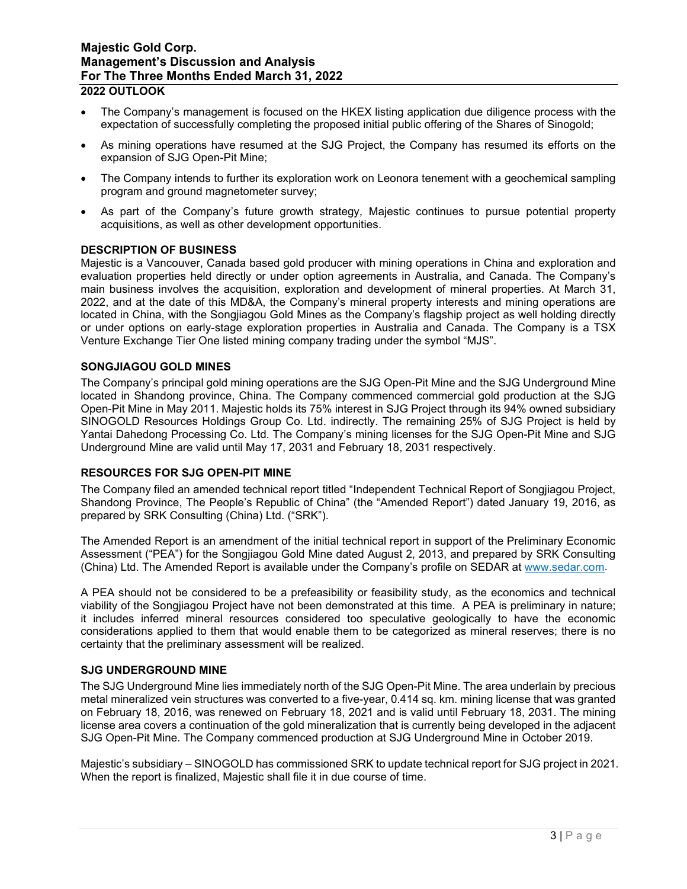- The Company's management is focused on the HKEX listing application due diligence process with the expectation of successfully completing the proposed initial public offering of the Shares of Sinogold;
- As mining operations have resumed at the SJG Project, the Company has resumed its efforts on the expansion of SJG Open-Pit Mine;
- The Company intends to further its exploration work on Leonora tenement with a geochemical sampling program and ground magnetometer survey;
- As part of the Company's future growth strategy, Majestic continues to pursue potential property acquisitions, as well as other development opportunities.

#### **DESCRIPTION OF BUSINESS**

Majestic is a Vancouver, Canada based gold producer with mining operations in China and exploration and evaluation properties held directly or under option agreements in Australia, and Canada. The Company's main business involves the acquisition, exploration and development of mineral properties. At March 31, 2022, and at the date of this MD&A, the Company's mineral property interests and mining operations are located in China, with the Songjiagou Gold Mines as the Company's flagship project as well holding directly or under options on early-stage exploration properties in Australia and Canada. The Company is a TSX Venture Exchange Tier One listed mining company trading under the symbol "MJS".

#### **SONGJIAGOU GOLD MINES**

The Company's principal gold mining operations are the SJG Open-Pit Mine and the SJG Underground Mine located in Shandong province, China. The Company commenced commercial gold production at the SJG Open-Pit Mine in May 2011. Majestic holds its 75% interest in SJG Project through its 94% owned subsidiary SINOGOLD Resources Holdings Group Co. Ltd. indirectly. The remaining 25% of SJG Project is held by Yantai Dahedong Processing Co. Ltd. The Company's mining licenses for the SJG Open-Pit Mine and SJG Underground Mine are valid until May 17, 2031 and February 18, 2031 respectively.

#### **RESOURCES FOR SJG OPEN-PIT MINE**

The Company filed an amended technical report titled "Independent Technical Report of Songjiagou Project, Shandong Province, The People's Republic of China" (the "Amended Report") dated January 19, 2016, as prepared by SRK Consulting (China) Ltd. ("SRK").

The Amended Report is an amendment of the initial technical report in support of the Preliminary Economic Assessment ("PEA") for the Songjiagou Gold Mine dated August 2, 2013, and prepared by SRK Consulting (China) Ltd. The Amended Report is available under the Company's profile on SEDAR at [www.sedar.com.](http://www.sedar.com/)

A PEA should not be considered to be a prefeasibility or feasibility study, as the economics and technical viability of the Songjiagou Project have not been demonstrated at this time. A PEA is preliminary in nature; it includes inferred mineral resources considered too speculative geologically to have the economic considerations applied to them that would enable them to be categorized as mineral reserves; there is no certainty that the preliminary assessment will be realized.

#### **SJG UNDERGROUND MINE**

The SJG Underground Mine lies immediately north of the SJG Open-Pit Mine. The area underlain by precious metal mineralized vein structures was converted to a five-year, 0.414 sq. km. mining license that was granted on February 18, 2016, was renewed on February 18, 2021 and is valid until February 18, 2031. The mining license area covers a continuation of the gold mineralization that is currently being developed in the adjacent SJG Open-Pit Mine. The Company commenced production at SJG Underground Mine in October 2019.

Majestic's subsidiary – SINOGOLD has commissioned SRK to update technical report for SJG project in 2021. When the report is finalized, Majestic shall file it in due course of time.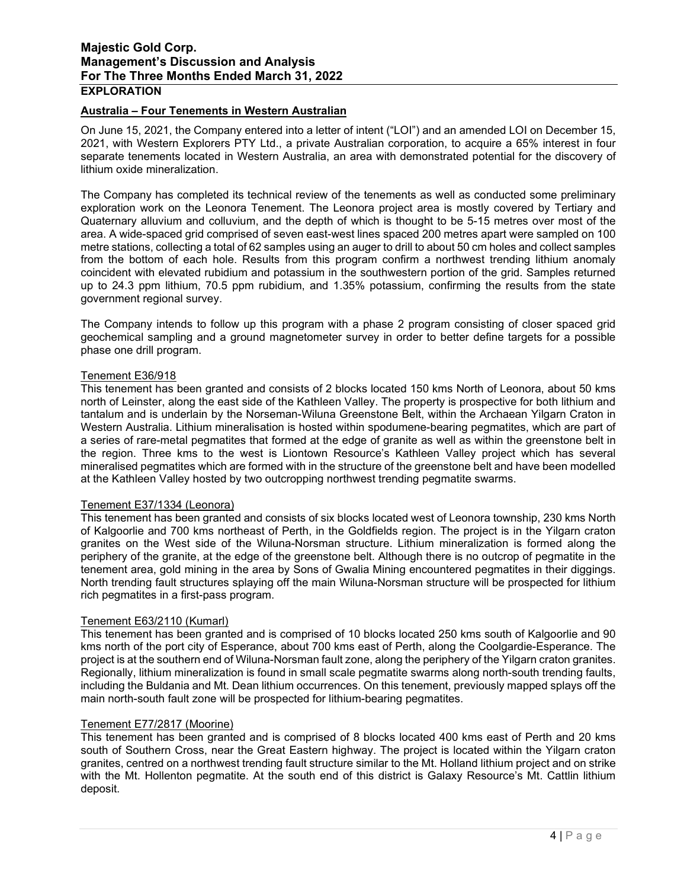## **Australia – Four Tenements in Western Australian**

On June 15, 2021, the Company entered into a letter of intent ("LOI") and an amended LOI on December 15, 2021, with Western Explorers PTY Ltd., a private Australian corporation, to acquire a 65% interest in four separate tenements located in Western Australia, an area with demonstrated potential for the discovery of lithium oxide mineralization.

The Company has completed its technical review of the tenements as well as conducted some preliminary exploration work on the Leonora Tenement. The Leonora project area is mostly covered by Tertiary and Quaternary alluvium and colluvium, and the depth of which is thought to be 5-15 metres over most of the area. A wide-spaced grid comprised of seven east-west lines spaced 200 metres apart were sampled on 100 metre stations, collecting a total of 62 samples using an auger to drill to about 50 cm holes and collect samples from the bottom of each hole. Results from this program confirm a northwest trending lithium anomaly coincident with elevated rubidium and potassium in the southwestern portion of the grid. Samples returned up to 24.3 ppm lithium, 70.5 ppm rubidium, and 1.35% potassium, confirming the results from the state government regional survey.

The Company intends to follow up this program with a phase 2 program consisting of closer spaced grid geochemical sampling and a ground magnetometer survey in order to better define targets for a possible phase one drill program.

#### Tenement E36/918

This tenement has been granted and consists of 2 blocks located 150 kms North of Leonora, about 50 kms north of Leinster, along the east side of the Kathleen Valley. The property is prospective for both lithium and tantalum and is underlain by the Norseman-Wiluna Greenstone Belt, within the Archaean Yilgarn Craton in Western Australia. Lithium mineralisation is hosted within spodumene-bearing pegmatites, which are part of a series of rare-metal pegmatites that formed at the edge of granite as well as within the greenstone belt in the region. Three kms to the west is Liontown Resource's Kathleen Valley project which has several mineralised pegmatites which are formed with in the structure of the greenstone belt and have been modelled at the Kathleen Valley hosted by two outcropping northwest trending pegmatite swarms.

#### Tenement E37/1334 (Leonora)

This tenement has been granted and consists of six blocks located west of Leonora township, 230 kms North of Kalgoorlie and 700 kms northeast of Perth, in the Goldfields region. The project is in the Yilgarn craton granites on the West side of the Wiluna-Norsman structure. Lithium mineralization is formed along the periphery of the granite, at the edge of the greenstone belt. Although there is no outcrop of pegmatite in the tenement area, gold mining in the area by Sons of Gwalia Mining encountered pegmatites in their diggings. North trending fault structures splaying off the main Wiluna-Norsman structure will be prospected for lithium rich pegmatites in a first-pass program.

#### Tenement E63/2110 (Kumarl)

This tenement has been granted and is comprised of 10 blocks located 250 kms south of Kalgoorlie and 90 kms north of the port city of Esperance, about 700 kms east of Perth, along the Coolgardie-Esperance. The project is at the southern end of Wiluna-Norsman fault zone, along the periphery of the Yilgarn craton granites. Regionally, lithium mineralization is found in small scale pegmatite swarms along north-south trending faults, including the Buldania and Mt. Dean lithium occurrences. On this tenement, previously mapped splays off the main north-south fault zone will be prospected for lithium-bearing pegmatites.

#### Tenement E77/2817 (Moorine)

This tenement has been granted and is comprised of 8 blocks located 400 kms east of Perth and 20 kms south of Southern Cross, near the Great Eastern highway. The project is located within the Yilgarn craton granites, centred on a northwest trending fault structure similar to the Mt. Holland lithium project and on strike with the Mt. Hollenton pegmatite. At the south end of this district is Galaxy Resource's Mt. Cattlin lithium deposit.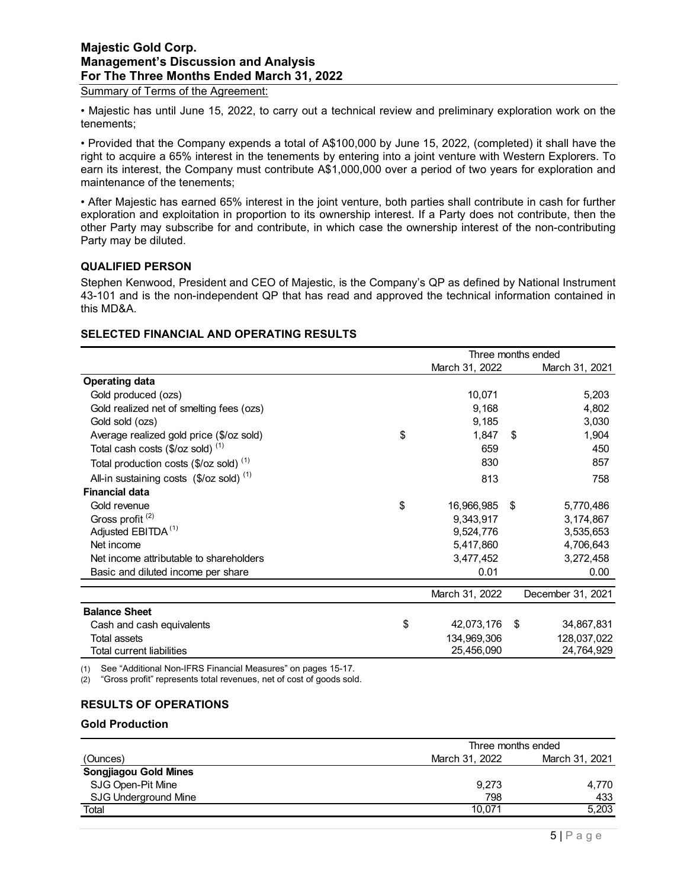Summary of Terms of the Agreement:

• Majestic has until June 15, 2022, to carry out a technical review and preliminary exploration work on the tenements;

• Provided that the Company expends a total of A\$100,000 by June 15, 2022, (completed) it shall have the right to acquire a 65% interest in the tenements by entering into a joint venture with Western Explorers. To earn its interest, the Company must contribute A\$1,000,000 over a period of two years for exploration and maintenance of the tenements;

• After Majestic has earned 65% interest in the joint venture, both parties shall contribute in cash for further exploration and exploitation in proportion to its ownership interest. If a Party does not contribute, then the other Party may subscribe for and contribute, in which case the ownership interest of the non-contributing Party may be diluted.

#### **QUALIFIED PERSON**

Stephen Kenwood, President and CEO of Majestic, is the Company's QP as defined by National Instrument 43-101 and is the non-independent QP that has read and approved the technical information contained in this MD&A.

## **SELECTED FINANCIAL AND OPERATING RESULTS**

|                                                              | Three months ended |                |    |                   |
|--------------------------------------------------------------|--------------------|----------------|----|-------------------|
|                                                              |                    | March 31, 2022 |    | March 31, 2021    |
| <b>Operating data</b>                                        |                    |                |    |                   |
| Gold produced (ozs)                                          |                    | 10,071         |    | 5,203             |
| Gold realized net of smelting fees (ozs)                     |                    | 9,168          |    | 4,802             |
| Gold sold (ozs)                                              |                    | 9,185          |    | 3,030             |
| Average realized gold price (\$/oz sold)                     | \$                 | 1,847          | \$ | 1,904             |
| Total cash costs $(\$/oz$ sold) <sup>(1)</sup>               |                    | 659            |    | 450               |
| Total production costs $(\$/oz$ sold) <sup>(1)</sup>         |                    | 830            |    | 857               |
| All-in sustaining costs $($/oz \text{ sold})$ <sup>(1)</sup> |                    | 813            |    | 758               |
| <b>Financial data</b>                                        |                    |                |    |                   |
| Gold revenue                                                 | \$                 | 16,966,985     | \$ | 5,770,486         |
| Gross profit <sup>(2)</sup>                                  |                    | 9,343,917      |    | 3,174,867         |
| Adjusted EBITDA <sup>(1)</sup>                               |                    | 9,524,776      |    | 3,535,653         |
| Net income                                                   |                    | 5,417,860      |    | 4,706,643         |
| Net income attributable to shareholders                      |                    | 3,477,452      |    | 3,272,458         |
| Basic and diluted income per share                           |                    | 0.01           |    | 0.00              |
|                                                              |                    | March 31, 2022 |    | December 31, 2021 |
| <b>Balance Sheet</b>                                         |                    |                |    |                   |
| Cash and cash equivalents                                    | \$                 | 42,073,176     | \$ | 34,867,831        |
| <b>Total assets</b>                                          |                    | 134,969,306    |    | 128,037,022       |
| Total current liabilities                                    |                    | 25,456,090     |    | 24,764,929        |

(1) See "Additional Non-IFRS Financial Measures" on pages 15-17.

(2) "Gross profit" represents total revenues, net of cost of goods sold.

## **RESULTS OF OPERATIONS**

#### **Gold Production**

|                              |                | Three months ended |
|------------------------------|----------------|--------------------|
| (Ounces)                     | March 31, 2022 | March 31, 2021     |
| <b>Songjiagou Gold Mines</b> |                |                    |
| SJG Open-Pit Mine            | 9.273          | 4.770              |
| SJG Underground Mine         | 798            | 433                |
| Total                        | 10.071         | 5,203              |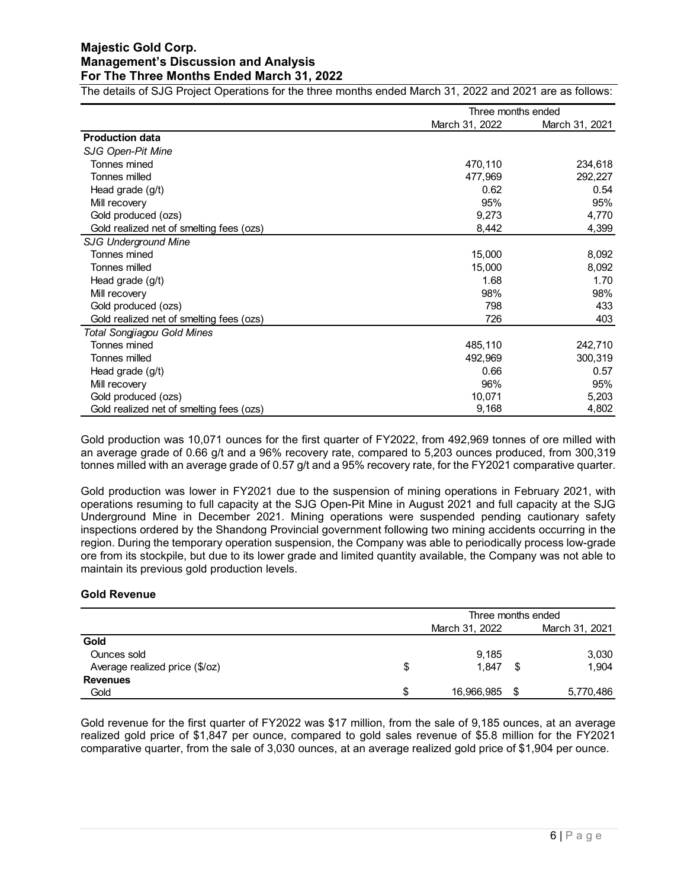The details of SJG Project Operations for the three months ended March 31, 2022 and 2021 are as follows:

|                                          | Three months ended |                |  |
|------------------------------------------|--------------------|----------------|--|
|                                          | March 31, 2022     | March 31, 2021 |  |
| <b>Production data</b>                   |                    |                |  |
| SJG Open-Pit Mine                        |                    |                |  |
| Tonnes mined                             | 470,110            | 234,618        |  |
| Tonnes milled                            | 477,969            | 292,227        |  |
| Head grade (g/t)                         | 0.62               | 0.54           |  |
| Mill recovery                            | 95%                | 95%            |  |
| Gold produced (ozs)                      | 9,273              | 4,770          |  |
| Gold realized net of smelting fees (ozs) | 8,442              | 4,399          |  |
| <b>SJG Underground Mine</b>              |                    |                |  |
| Tonnes mined                             | 15,000             | 8,092          |  |
| Tonnes milled                            | 15,000             | 8,092          |  |
| Head grade (g/t)                         | 1.68               | 1.70           |  |
| Mill recovery                            | 98%                | 98%            |  |
| Gold produced (ozs)                      | 798                | 433            |  |
| Gold realized net of smelting fees (ozs) | 726                | 403            |  |
| <b>Total Songjiagou Gold Mines</b>       |                    |                |  |
| Tonnes mined                             | 485,110            | 242,710        |  |
| Tonnes milled                            | 492,969            | 300,319        |  |
| Head grade (g/t)                         | 0.66               | 0.57           |  |
| Mill recovery                            | 96%                | 95%            |  |
| Gold produced (ozs)                      | 10,071             | 5,203          |  |
| Gold realized net of smelting fees (ozs) | 9,168              | 4,802          |  |

Gold production was 10,071 ounces for the first quarter of FY2022, from 492,969 tonnes of ore milled with an average grade of 0.66 g/t and a 96% recovery rate, compared to 5,203 ounces produced, from 300,319 tonnes milled with an average grade of 0.57 g/t and a 95% recovery rate, for the FY2021 comparative quarter.

Gold production was lower in FY2021 due to the suspension of mining operations in February 2021, with operations resuming to full capacity at the SJG Open-Pit Mine in August 2021 and full capacity at the SJG Underground Mine in December 2021. Mining operations were suspended pending cautionary safety inspections ordered by the Shandong Provincial government following two mining accidents occurring in the region. During the temporary operation suspension, the Company was able to periodically process low-grade ore from its stockpile, but due to its lower grade and limited quantity available, the Company was not able to maintain its previous gold production levels.

#### **Gold Revenue**

|                                |    | Three months ended |  |                |  |
|--------------------------------|----|--------------------|--|----------------|--|
|                                |    | March 31, 2022     |  | March 31, 2021 |  |
| Gold                           |    |                    |  |                |  |
| Ounces sold                    |    | 9,185              |  | 3,030          |  |
| Average realized price (\$/oz) | S  | 1.847              |  | 1.904          |  |
| <b>Revenues</b>                |    |                    |  |                |  |
| Gold                           | £. | 16,966,985         |  | 5,770,486      |  |

Gold revenue for the first quarter of FY2022 was \$17 million, from the sale of 9,185 ounces, at an average realized gold price of \$1,847 per ounce, compared to gold sales revenue of \$5.8 million for the FY2021 comparative quarter, from the sale of 3,030 ounces, at an average realized gold price of \$1,904 per ounce.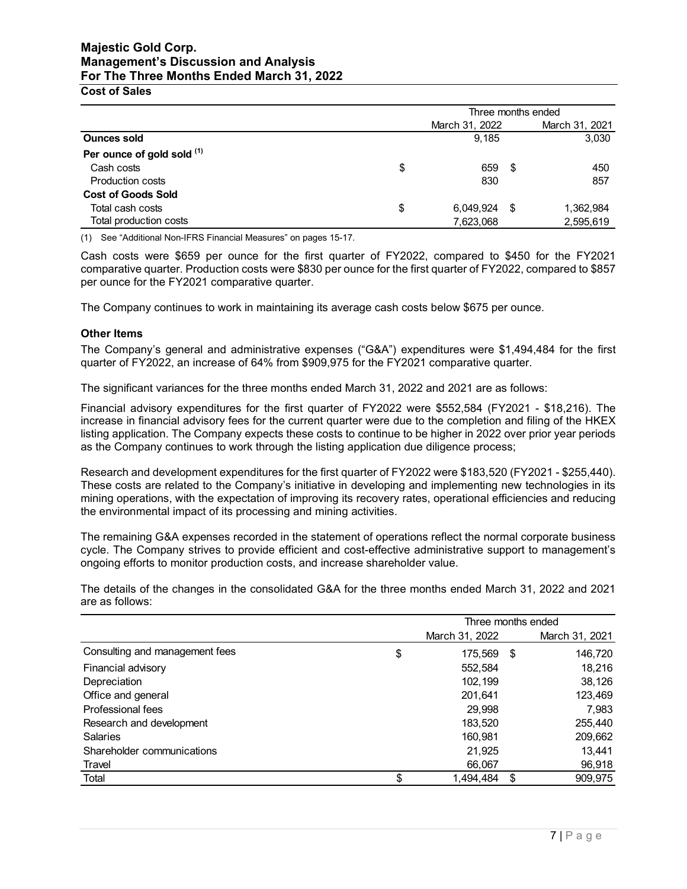**Cost of Sales**

|                            | Three months ended |      |                |  |
|----------------------------|--------------------|------|----------------|--|
|                            | March 31, 2022     |      | March 31, 2021 |  |
| <b>Ounces sold</b>         | 9.185              |      | 3,030          |  |
| Per ounce of gold sold (1) |                    |      |                |  |
| Cash costs                 | \$<br>659          | - \$ | 450            |  |
| <b>Production costs</b>    | 830                |      | 857            |  |
| <b>Cost of Goods Sold</b>  |                    |      |                |  |
| Total cash costs           | \$<br>6,049,924    | \$.  | 1,362,984      |  |
| Total production costs     | 7,623,068          |      | 2,595,619      |  |

(1) See "Additional Non-IFRS Financial Measures" on pages 15-17.

Cash costs were \$659 per ounce for the first quarter of FY2022, compared to \$450 for the FY2021 comparative quarter. Production costs were \$830 per ounce for the first quarter of FY2022, compared to \$857 per ounce for the FY2021 comparative quarter.

The Company continues to work in maintaining its average cash costs below \$675 per ounce.

#### **Other Items**

The Company's general and administrative expenses ("G&A") expenditures were \$1,494,484 for the first quarter of FY2022, an increase of 64% from \$909,975 for the FY2021 comparative quarter.

The significant variances for the three months ended March 31, 2022 and 2021 are as follows:

Financial advisory expenditures for the first quarter of FY2022 were \$552,584 (FY2021 - \$18,216). The increase in financial advisory fees for the current quarter were due to the completion and filing of the HKEX listing application. The Company expects these costs to continue to be higher in 2022 over prior year periods as the Company continues to work through the listing application due diligence process;

Research and development expenditures for the first quarter of FY2022 were \$183,520 (FY2021 - \$255,440). These costs are related to the Company's initiative in developing and implementing new technologies in its mining operations, with the expectation of improving its recovery rates, operational efficiencies and reducing the environmental impact of its processing and mining activities.

The remaining G&A expenses recorded in the statement of operations reflect the normal corporate business cycle. The Company strives to provide efficient and cost-effective administrative support to management's ongoing efforts to monitor production costs, and increase shareholder value.

The details of the changes in the consolidated G&A for the three months ended March 31, 2022 and 2021 are as follows:

|                                | Three months ended |                |    |                |
|--------------------------------|--------------------|----------------|----|----------------|
|                                |                    | March 31, 2022 |    | March 31, 2021 |
| Consulting and management fees | \$                 | 175,569        | \$ | 146,720        |
| Financial advisory             |                    | 552,584        |    | 18,216         |
| Depreciation                   |                    | 102,199        |    | 38,126         |
| Office and general             |                    | 201,641        |    | 123,469        |
| Professional fees              |                    | 29,998         |    | 7,983          |
| Research and development       |                    | 183,520        |    | 255,440        |
| Salaries                       |                    | 160,981        |    | 209,662        |
| Shareholder communications     |                    | 21,925         |    | 13,441         |
| Travel                         |                    | 66,067         |    | 96,918         |
| Total                          | \$                 | 1,494,484      | \$ | 909,975        |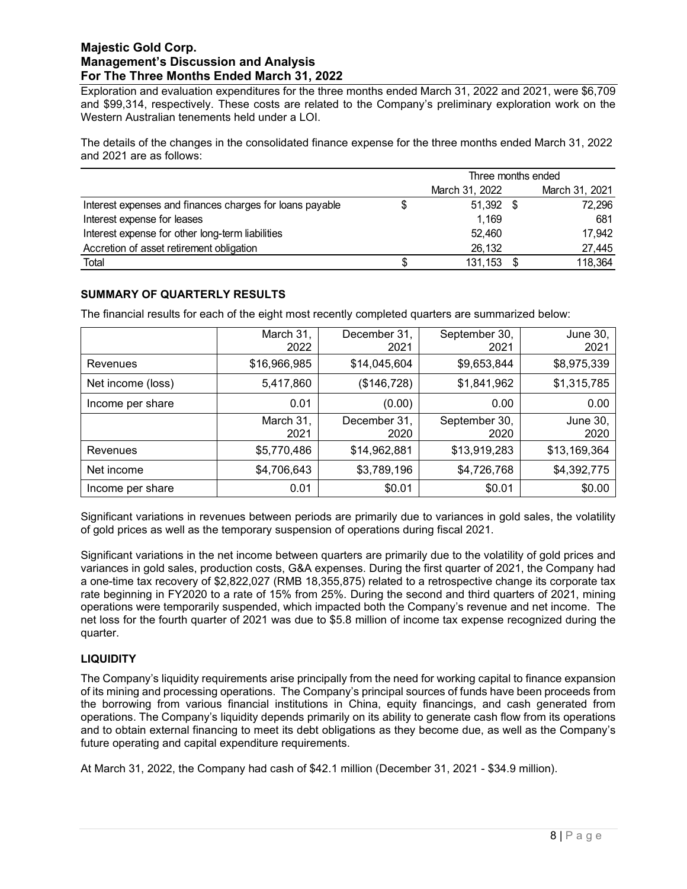Exploration and evaluation expenditures for the three months ended March 31, 2022 and 2021, were \$6,709 and \$99,314, respectively. These costs are related to the Company's preliminary exploration work on the Western Australian tenements held under a LOI.

The details of the changes in the consolidated finance expense for the three months ended March 31, 2022 and 2021 are as follows:

|                                                          | Three months ended |                |  |                |
|----------------------------------------------------------|--------------------|----------------|--|----------------|
|                                                          |                    | March 31, 2022 |  | March 31, 2021 |
| Interest expenses and finances charges for loans payable |                    | 51,392 \$      |  | 72,296         |
| Interest expense for leases                              |                    | 1.169          |  | 681            |
| Interest expense for other long-term liabilities         |                    | 52,460         |  | 17,942         |
| Accretion of asset retirement obligation                 |                    | 26,132         |  | 27,445         |
| Total                                                    |                    | 131, 153       |  | 118,364        |

## **SUMMARY OF QUARTERLY RESULTS**

The financial results for each of the eight most recently completed quarters are summarized below:

|                   | March 31,<br>2022 | December 31,<br>2021 | September 30,<br>2021 | <b>June 30,</b><br>2021 |
|-------------------|-------------------|----------------------|-----------------------|-------------------------|
| Revenues          | \$16,966,985      | \$14,045,604         | \$9,653,844           | \$8,975,339             |
| Net income (loss) | 5,417,860         | (\$146,728)          | \$1,841,962           | \$1,315,785             |
| Income per share  | 0.01              | (0.00)               | 0.00                  | 0.00                    |
|                   | March 31,<br>2021 | December 31,<br>2020 | September 30,<br>2020 | June 30,<br>2020        |
| Revenues          | \$5,770,486       | \$14,962,881         | \$13,919,283          | \$13,169,364            |
| Net income        | \$4,706,643       | \$3,789,196          | \$4,726,768           | \$4,392,775             |
| Income per share  | 0.01              | \$0.01               | \$0.01                | \$0.00                  |

Significant variations in revenues between periods are primarily due to variances in gold sales, the volatility of gold prices as well as the temporary suspension of operations during fiscal 2021.

Significant variations in the net income between quarters are primarily due to the volatility of gold prices and variances in gold sales, production costs, G&A expenses. During the first quarter of 2021, the Company had a one-time tax recovery of \$2,822,027 (RMB 18,355,875) related to a retrospective change its corporate tax rate beginning in FY2020 to a rate of 15% from 25%. During the second and third quarters of 2021, mining operations were temporarily suspended, which impacted both the Company's revenue and net income. The net loss for the fourth quarter of 2021 was due to \$5.8 million of income tax expense recognized during the quarter.

## **LIQUIDITY**

The Company's liquidity requirements arise principally from the need for working capital to finance expansion of its mining and processing operations. The Company's principal sources of funds have been proceeds from the borrowing from various financial institutions in China, equity financings, and cash generated from operations. The Company's liquidity depends primarily on its ability to generate cash flow from its operations and to obtain external financing to meet its debt obligations as they become due, as well as the Company's future operating and capital expenditure requirements.

At March 31, 2022, the Company had cash of \$42.1 million (December 31, 2021 - \$34.9 million).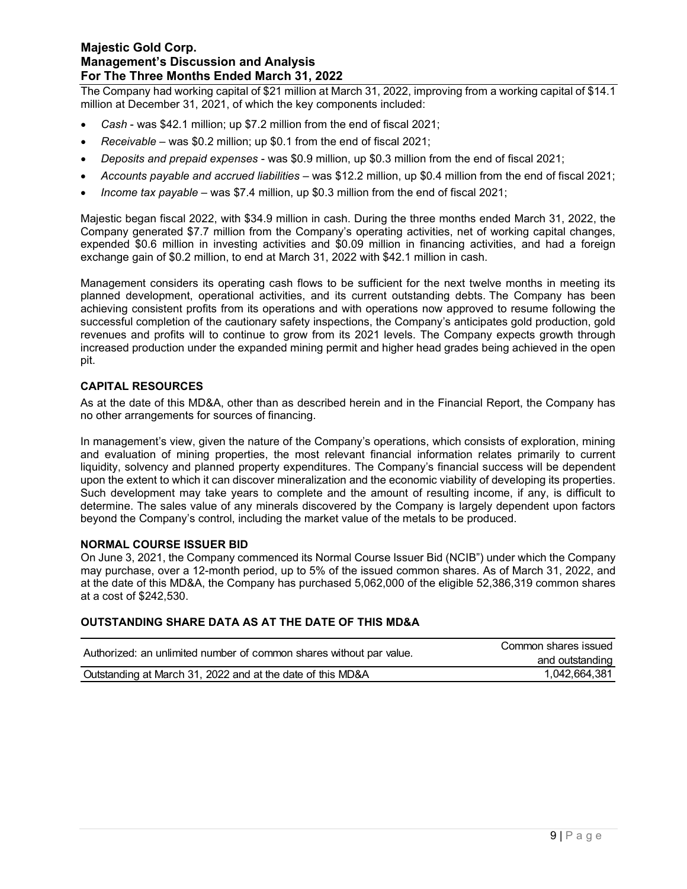The Company had working capital of \$21 million at March 31, 2022, improving from a working capital of \$14.1 million at December 31, 2021, of which the key components included:

- *Cash* was \$42.1 million; up \$7.2 million from the end of fiscal 2021;
- *Receivable*  was \$0.2 million; up \$0.1 from the end of fiscal 2021;
- *Deposits and prepaid expenses* was \$0.9 million, up \$0.3 million from the end of fiscal 2021;
- *Accounts payable and accrued liabilities* was \$12.2 million, up \$0.4 million from the end of fiscal 2021;
- *Income tax payable*  was \$7.4 million, up \$0.3 million from the end of fiscal 2021;

Majestic began fiscal 2022, with \$34.9 million in cash. During the three months ended March 31, 2022, the Company generated \$7.7 million from the Company's operating activities, net of working capital changes, expended \$0.6 million in investing activities and \$0.09 million in financing activities, and had a foreign exchange gain of \$0.2 million, to end at March 31, 2022 with \$42.1 million in cash.

Management considers its operating cash flows to be sufficient for the next twelve months in meeting its planned development, operational activities, and its current outstanding debts. The Company has been achieving consistent profits from its operations and with operations now approved to resume following the successful completion of the cautionary safety inspections, the Company's anticipates gold production, gold revenues and profits will to continue to grow from its 2021 levels. The Company expects growth through increased production under the expanded mining permit and higher head grades being achieved in the open pit.

#### **CAPITAL RESOURCES**

As at the date of this MD&A, other than as described herein and in the Financial Report, the Company has no other arrangements for sources of financing.

In management's view, given the nature of the Company's operations, which consists of exploration, mining and evaluation of mining properties, the most relevant financial information relates primarily to current liquidity, solvency and planned property expenditures. The Company's financial success will be dependent upon the extent to which it can discover mineralization and the economic viability of developing its properties. Such development may take years to complete and the amount of resulting income, if any, is difficult to determine. The sales value of any minerals discovered by the Company is largely dependent upon factors beyond the Company's control, including the market value of the metals to be produced.

#### **NORMAL COURSE ISSUER BID**

On June 3, 2021, the Company commenced its Normal Course Issuer Bid (NCIB") under which the Company may purchase, over a 12-month period, up to 5% of the issued common shares. As of March 31, 2022, and at the date of this MD&A, the Company has purchased 5,062,000 of the eligible 52,386,319 common shares at a cost of \$242,530.

#### **OUTSTANDING SHARE DATA AS AT THE DATE OF THIS MD&A**

| Authorized: an unlimited number of common shares without par value. | Common shares issued |
|---------------------------------------------------------------------|----------------------|
|                                                                     | and outstanding      |
| Outstanding at March 31, 2022 and at the date of this MD&A          | 1,042,664,381        |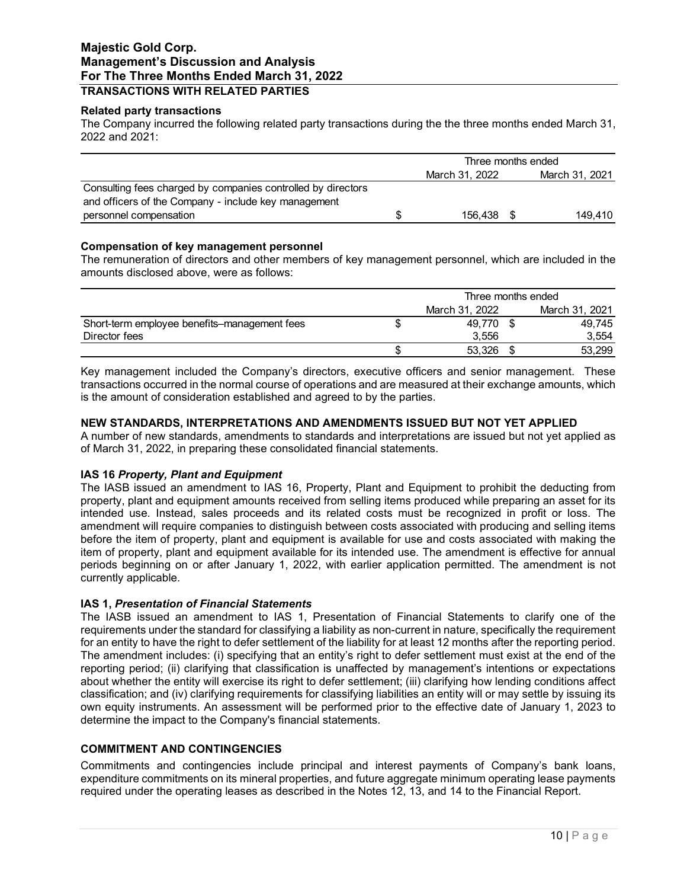## **Majestic Gold Corp. Management's Discussion and Analysis For The Three Months Ended March 31, 2022 TRANSACTIONS WITH RELATED PARTIES**

#### **Related party transactions**

The Company incurred the following related party transactions during the the three months ended March 31, 2022 and 2021:

|                                                                                | Three months ended |                |  |                |
|--------------------------------------------------------------------------------|--------------------|----------------|--|----------------|
|                                                                                |                    | March 31, 2022 |  | March 31, 2021 |
| Consulting fees charged by companies controlled by directors                   |                    |                |  |                |
| and officers of the Company - include key management<br>personnel compensation |                    | 156.438        |  | 149.410        |

#### **Compensation of key management personnel**

The remuneration of directors and other members of key management personnel, which are included in the amounts disclosed above, were as follows:

|                                              | Three months ended |  |                |  |
|----------------------------------------------|--------------------|--|----------------|--|
|                                              | March 31, 2022     |  | March 31, 2021 |  |
| Short-term employee benefits-management fees | 49.770             |  | 49.745         |  |
| Director fees                                | 3.556              |  | 3.554          |  |
|                                              | 53.326             |  | 53,299         |  |

Key management included the Company's directors, executive officers and senior management. These transactions occurred in the normal course of operations and are measured at their exchange amounts, which is the amount of consideration established and agreed to by the parties.

#### **NEW STANDARDS, INTERPRETATIONS AND AMENDMENTS ISSUED BUT NOT YET APPLIED**

A number of new standards, amendments to standards and interpretations are issued but not yet applied as of March 31, 2022, in preparing these consolidated financial statements.

#### **IAS 16** *Property, Plant and Equipment*

The IASB issued an amendment to IAS 16, Property, Plant and Equipment to prohibit the deducting from property, plant and equipment amounts received from selling items produced while preparing an asset for its intended use. Instead, sales proceeds and its related costs must be recognized in profit or loss. The amendment will require companies to distinguish between costs associated with producing and selling items before the item of property, plant and equipment is available for use and costs associated with making the item of property, plant and equipment available for its intended use. The amendment is effective for annual periods beginning on or after January 1, 2022, with earlier application permitted. The amendment is not currently applicable.

#### **IAS 1,** *Presentation of Financial Statements*

The IASB issued an amendment to IAS 1, Presentation of Financial Statements to clarify one of the requirements under the standard for classifying a liability as non-current in nature, specifically the requirement for an entity to have the right to defer settlement of the liability for at least 12 months after the reporting period. The amendment includes: (i) specifying that an entity's right to defer settlement must exist at the end of the reporting period; (ii) clarifying that classification is unaffected by management's intentions or expectations about whether the entity will exercise its right to defer settlement; (iii) clarifying how lending conditions affect classification; and (iv) clarifying requirements for classifying liabilities an entity will or may settle by issuing its own equity instruments. An assessment will be performed prior to the effective date of January 1, 2023 to determine the impact to the Company's financial statements.

#### **COMMITMENT AND CONTINGENCIES**

Commitments and contingencies include principal and interest payments of Company's bank loans, expenditure commitments on its mineral properties, and future aggregate minimum operating lease payments required under the operating leases as described in the Notes 12, 13, and 14 to the Financial Report.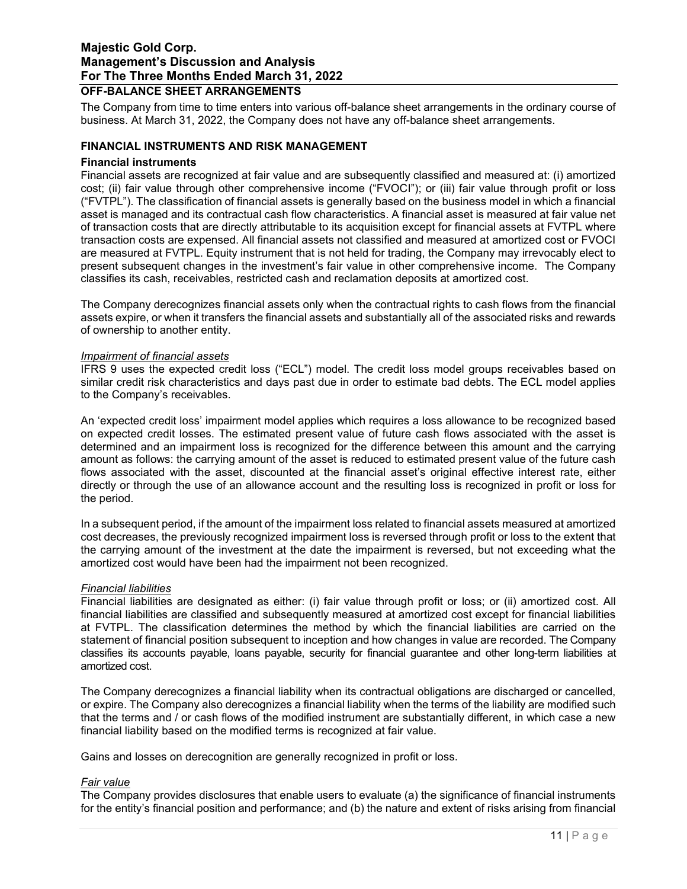### **Majestic Gold Corp. Management's Discussion and Analysis For The Three Months Ended March 31, 2022 OFF-BALANCE SHEET ARRANGEMENTS**

The Company from time to time enters into various off-balance sheet arrangements in the ordinary course of business. At March 31, 2022, the Company does not have any off-balance sheet arrangements.

#### **FINANCIAL INSTRUMENTS AND RISK MANAGEMENT**

#### **Financial instruments**

Financial assets are recognized at fair value and are subsequently classified and measured at: (i) amortized cost; (ii) fair value through other comprehensive income ("FVOCI"); or (iii) fair value through profit or loss ("FVTPL"). The classification of financial assets is generally based on the business model in which a financial asset is managed and its contractual cash flow characteristics. A financial asset is measured at fair value net of transaction costs that are directly attributable to its acquisition except for financial assets at FVTPL where transaction costs are expensed. All financial assets not classified and measured at amortized cost or FVOCI are measured at FVTPL. Equity instrument that is not held for trading, the Company may irrevocably elect to present subsequent changes in the investment's fair value in other comprehensive income. The Company classifies its cash, receivables, restricted cash and reclamation deposits at amortized cost.

The Company derecognizes financial assets only when the contractual rights to cash flows from the financial assets expire, or when it transfers the financial assets and substantially all of the associated risks and rewards of ownership to another entity.

#### *Impairment of financial assets*

IFRS 9 uses the expected credit loss ("ECL") model. The credit loss model groups receivables based on similar credit risk characteristics and days past due in order to estimate bad debts. The ECL model applies to the Company's receivables.

An 'expected credit loss' impairment model applies which requires a loss allowance to be recognized based on expected credit losses. The estimated present value of future cash flows associated with the asset is determined and an impairment loss is recognized for the difference between this amount and the carrying amount as follows: the carrying amount of the asset is reduced to estimated present value of the future cash flows associated with the asset, discounted at the financial asset's original effective interest rate, either directly or through the use of an allowance account and the resulting loss is recognized in profit or loss for the period.

In a subsequent period, if the amount of the impairment loss related to financial assets measured at amortized cost decreases, the previously recognized impairment loss is reversed through profit or loss to the extent that the carrying amount of the investment at the date the impairment is reversed, but not exceeding what the amortized cost would have been had the impairment not been recognized.

#### *Financial liabilities*

Financial liabilities are designated as either: (i) fair value through profit or loss; or (ii) amortized cost. All financial liabilities are classified and subsequently measured at amortized cost except for financial liabilities at FVTPL. The classification determines the method by which the financial liabilities are carried on the statement of financial position subsequent to inception and how changes in value are recorded. The Company classifies its accounts payable, loans payable, security for financial guarantee and other long-term liabilities at amortized cost.

The Company derecognizes a financial liability when its contractual obligations are discharged or cancelled, or expire. The Company also derecognizes a financial liability when the terms of the liability are modified such that the terms and / or cash flows of the modified instrument are substantially different, in which case a new financial liability based on the modified terms is recognized at fair value.

Gains and losses on derecognition are generally recognized in profit or loss.

#### *Fair value*

The Company provides disclosures that enable users to evaluate (a) the significance of financial instruments for the entity's financial position and performance; and (b) the nature and extent of risks arising from financial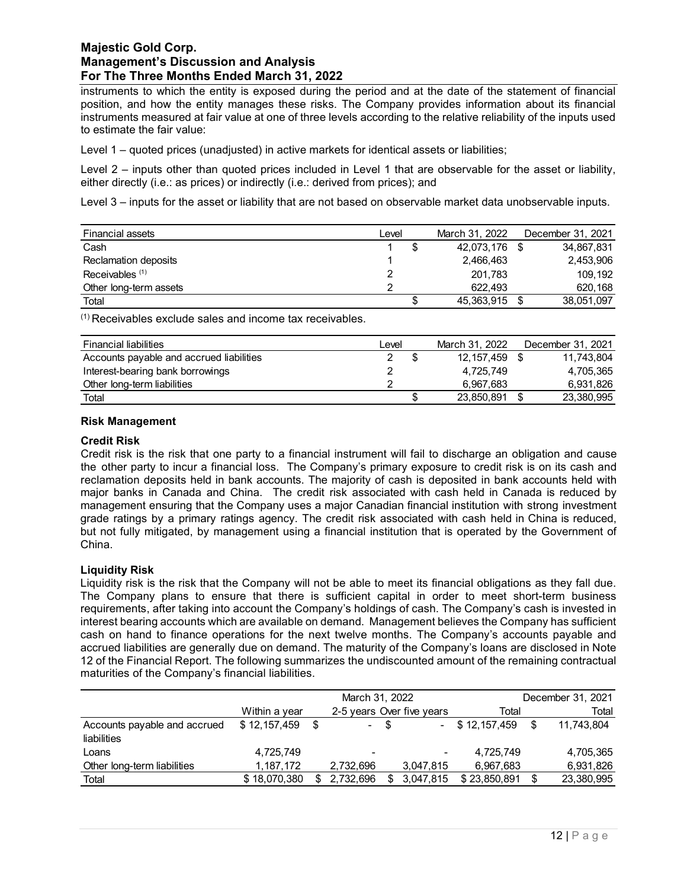instruments to which the entity is exposed during the period and at the date of the statement of financial position, and how the entity manages these risks. The Company provides information about its financial instruments measured at fair value at one of three levels according to the relative reliability of the inputs used to estimate the fair value:

Level 1 – quoted prices (unadjusted) in active markets for identical assets or liabilities;

Level 2 – inputs other than quoted prices included in Level 1 that are observable for the asset or liability, either directly (i.e.: as prices) or indirectly (i.e.: derived from prices); and

Level 3 – inputs for the asset or liability that are not based on observable market data unobservable inputs.

| Financial assets           | Level | March 31, 2022 | December 31, 2021 |
|----------------------------|-------|----------------|-------------------|
| Cash                       |       | 42,073,176     | 34,867,831        |
| Reclamation deposits       |       | 2,466,463      | 2,453,906         |
| Receivables <sup>(1)</sup> |       | 201.783        | 109.192           |
| Other long-term assets     |       | 622.493        | 620.168           |
| Total                      |       | 45,363,915     | 38,051,097        |

(1) Receivables exclude sales and income tax receivables.

| <b>Financial liabilities</b>             | Level | March 31, 2022 | December 31, 2021 |
|------------------------------------------|-------|----------------|-------------------|
| Accounts payable and accrued liabilities |       | 12, 157, 459   | 11.743.804        |
| Interest-bearing bank borrowings         |       | 4,725,749      | 4.705.365         |
| Other long-term liabilities              |       | 6,967,683      | 6,931,826         |
| Total                                    |       | 23,850,891     | 23,380,995        |

#### **Risk Management**

#### **Credit Risk**

Credit risk is the risk that one party to a financial instrument will fail to discharge an obligation and cause the other party to incur a financial loss. The Company's primary exposure to credit risk is on its cash and reclamation deposits held in bank accounts. The majority of cash is deposited in bank accounts held with major banks in Canada and China. The credit risk associated with cash held in Canada is reduced by management ensuring that the Company uses a major Canadian financial institution with strong investment grade ratings by a primary ratings agency. The credit risk associated with cash held in China is reduced, but not fully mitigated, by management using a financial institution that is operated by the Government of China.

#### **Liquidity Risk**

Liquidity risk is the risk that the Company will not be able to meet its financial obligations as they fall due. The Company plans to ensure that there is sufficient capital in order to meet short-term business requirements, after taking into account the Company's holdings of cash. The Company's cash is invested in interest bearing accounts which are available on demand. Management believes the Company has sufficient cash on hand to finance operations for the next twelve months. The Company's accounts payable and accrued liabilities are generally due on demand. The maturity of the Company's loans are disclosed in Note 12 of the Financial Report. The following summarizes the undiscounted amount of the remaining contractual maturities of the Company's financial liabilities.

|                              |               | March 31, 2022 |    |                           | December 31, 2021 |     |            |  |
|------------------------------|---------------|----------------|----|---------------------------|-------------------|-----|------------|--|
|                              | Within a year |                |    | 2-5 years Over five years | Total             |     | Total      |  |
| Accounts payable and accrued | \$12,157,459  | $\sim$         | -S | $\sim$                    | \$12,157,459      | \$. | 11.743.804 |  |
| liabilities                  |               |                |    |                           |                   |     |            |  |
| Loans                        | 4,725,749     |                |    |                           | 4,725,749         |     | 4,705,365  |  |
| Other long-term liabilities  | 1,187,172     | 2,732,696      |    | 3,047,815                 | 6,967,683         |     | 6,931,826  |  |
| Total                        | \$18,070,380  | 2.732.696      | S  | 3,047,815                 | \$23.850.891      |     | 23,380,995 |  |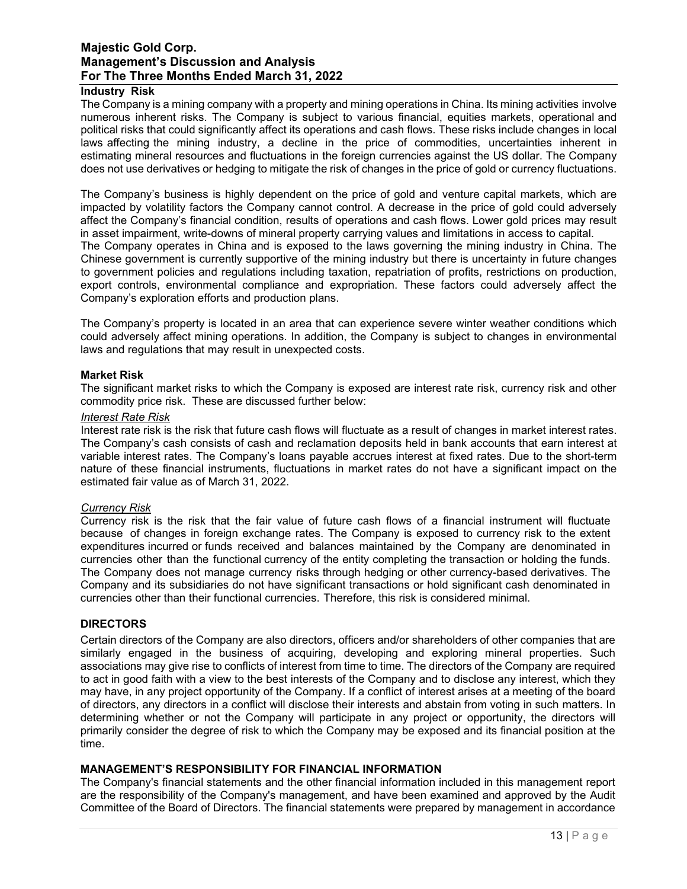#### **Industry Risk**

The Company is a mining company with a property and mining operations in China. Its mining activities involve numerous inherent risks. The Company is subject to various financial, equities markets, operational and political risks that could significantly affect its operations and cash flows. These risks include changes in local laws affecting the mining industry, a decline in the price of commodities, uncertainties inherent in estimating mineral resources and fluctuations in the foreign currencies against the US dollar. The Company does not use derivatives or hedging to mitigate the risk of changes in the price of gold or currency fluctuations.

The Company's business is highly dependent on the price of gold and venture capital markets, which are impacted by volatility factors the Company cannot control. A decrease in the price of gold could adversely affect the Company's financial condition, results of operations and cash flows. Lower gold prices may result in asset impairment, write-downs of mineral property carrying values and limitations in access to capital. The Company operates in China and is exposed to the laws governing the mining industry in China. The

Chinese government is currently supportive of the mining industry but there is uncertainty in future changes to government policies and regulations including taxation, repatriation of profits, restrictions on production, export controls, environmental compliance and expropriation. These factors could adversely affect the Company's exploration efforts and production plans.

The Company's property is located in an area that can experience severe winter weather conditions which could adversely affect mining operations. In addition, the Company is subject to changes in environmental laws and regulations that may result in unexpected costs.

#### **Market Risk**

The significant market risks to which the Company is exposed are interest rate risk, currency risk and other commodity price risk. These are discussed further below:

#### *Interest Rate Risk*

Interest rate risk is the risk that future cash flows will fluctuate as a result of changes in market interest rates. The Company's cash consists of cash and reclamation deposits held in bank accounts that earn interest at variable interest rates. The Company's loans payable accrues interest at fixed rates. Due to the short-term nature of these financial instruments, fluctuations in market rates do not have a significant impact on the estimated fair value as of March 31, 2022.

#### *Currency Risk*

Currency risk is the risk that the fair value of future cash flows of a financial instrument will fluctuate because of changes in foreign exchange rates. The Company is exposed to currency risk to the extent expenditures incurred or funds received and balances maintained by the Company are denominated in currencies other than the functional currency of the entity completing the transaction or holding the funds. The Company does not manage currency risks through hedging or other currency-based derivatives. The Company and its subsidiaries do not have significant transactions or hold significant cash denominated in currencies other than their functional currencies. Therefore, this risk is considered minimal.

#### **DIRECTORS**

Certain directors of the Company are also directors, officers and/or shareholders of other companies that are similarly engaged in the business of acquiring, developing and exploring mineral properties. Such associations may give rise to conflicts of interest from time to time. The directors of the Company are required to act in good faith with a view to the best interests of the Company and to disclose any interest, which they may have, in any project opportunity of the Company. If a conflict of interest arises at a meeting of the board of directors, any directors in a conflict will disclose their interests and abstain from voting in such matters. In determining whether or not the Company will participate in any project or opportunity, the directors will primarily consider the degree of risk to which the Company may be exposed and its financial position at the time.

## **MANAGEMENT'S RESPONSIBILITY FOR FINANCIAL INFORMATION**

The Company's financial statements and the other financial information included in this management report are the responsibility of the Company's management, and have been examined and approved by the Audit Committee of the Board of Directors. The financial statements were prepared by management in accordance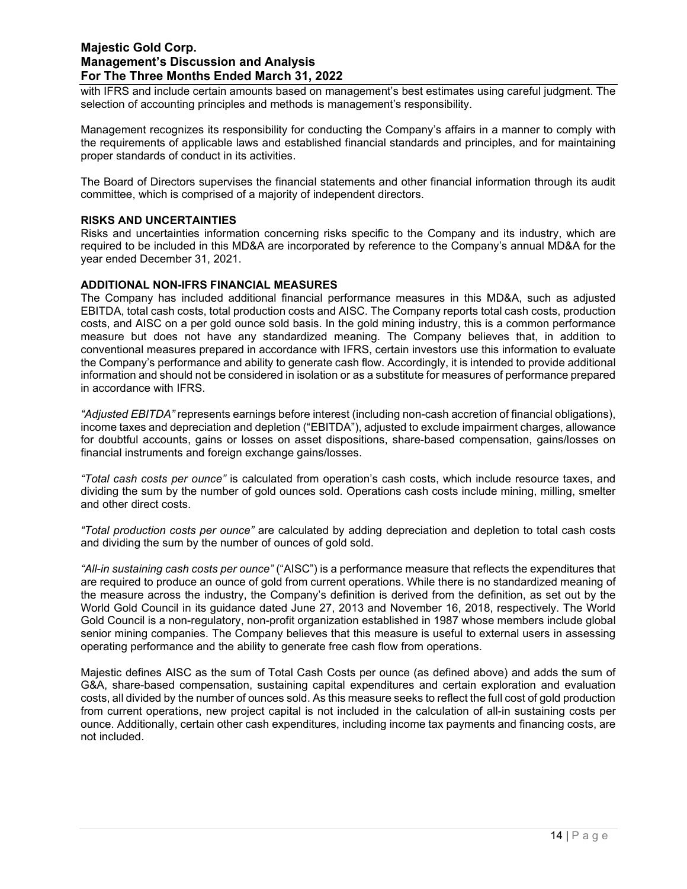with IFRS and include certain amounts based on management's best estimates using careful judgment. The selection of accounting principles and methods is management's responsibility.

Management recognizes its responsibility for conducting the Company's affairs in a manner to comply with the requirements of applicable laws and established financial standards and principles, and for maintaining proper standards of conduct in its activities.

The Board of Directors supervises the financial statements and other financial information through its audit committee, which is comprised of a majority of independent directors.

#### **RISKS AND UNCERTAINTIES**

Risks and uncertainties information concerning risks specific to the Company and its industry, which are required to be included in this MD&A are incorporated by reference to the Company's annual MD&A for the year ended December 31, 2021.

#### **ADDITIONAL NON-IFRS FINANCIAL MEASURES**

The Company has included additional financial performance measures in this MD&A, such as adjusted EBITDA, total cash costs, total production costs and AISC. The Company reports total cash costs, production costs, and AISC on a per gold ounce sold basis. In the gold mining industry, this is a common performance measure but does not have any standardized meaning. The Company believes that, in addition to conventional measures prepared in accordance with IFRS, certain investors use this information to evaluate the Company's performance and ability to generate cash flow. Accordingly, it is intended to provide additional information and should not be considered in isolation or as a substitute for measures of performance prepared in accordance with IFRS.

*"Adjusted EBITDA"* represents earnings before interest (including non-cash accretion of financial obligations), income taxes and depreciation and depletion ("EBITDA"), adjusted to exclude impairment charges, allowance for doubtful accounts, gains or losses on asset dispositions, share-based compensation, gains/losses on financial instruments and foreign exchange gains/losses.

*"Total cash costs per ounce"* is calculated from operation's cash costs, which include resource taxes, and dividing the sum by the number of gold ounces sold. Operations cash costs include mining, milling, smelter and other direct costs.

*"Total production costs per ounce"* are calculated by adding depreciation and depletion to total cash costs and dividing the sum by the number of ounces of gold sold.

*"All-in sustaining cash costs per ounce"* ("AISC") is a performance measure that reflects the expenditures that are required to produce an ounce of gold from current operations. While there is no standardized meaning of the measure across the industry, the Company's definition is derived from the definition, as set out by the World Gold Council in its guidance dated June 27, 2013 and November 16, 2018, respectively. The World Gold Council is a non-regulatory, non-profit organization established in 1987 whose members include global senior mining companies. The Company believes that this measure is useful to external users in assessing operating performance and the ability to generate free cash flow from operations.

Majestic defines AISC as the sum of Total Cash Costs per ounce (as defined above) and adds the sum of G&A, share-based compensation, sustaining capital expenditures and certain exploration and evaluation costs, all divided by the number of ounces sold. As this measure seeks to reflect the full cost of gold production from current operations, new project capital is not included in the calculation of all-in sustaining costs per ounce. Additionally, certain other cash expenditures, including income tax payments and financing costs, are not included.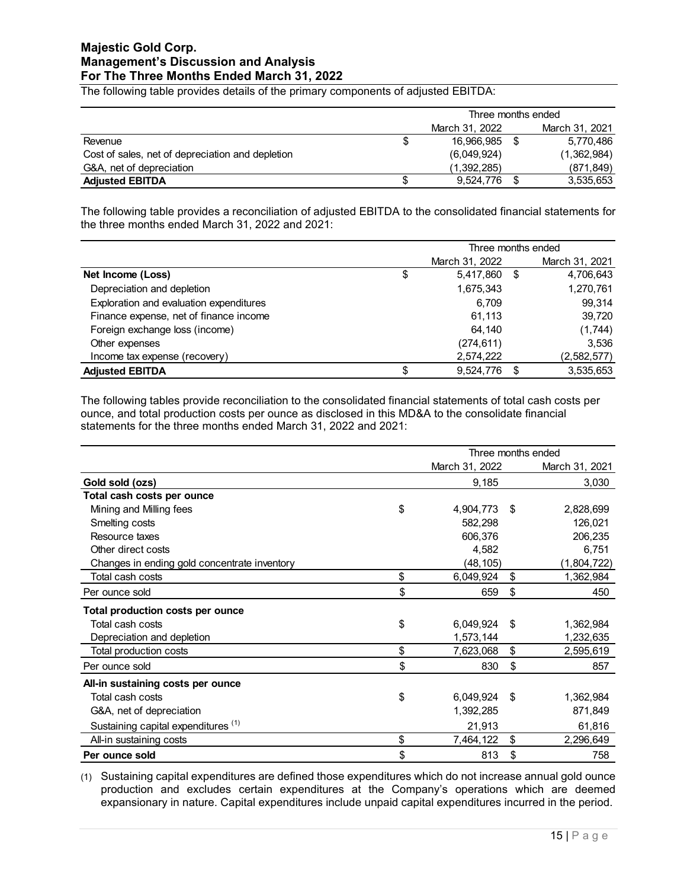The following table provides details of the primary components of adjusted EBITDA:

|                                                  |   | Three months ended |  |                |  |
|--------------------------------------------------|---|--------------------|--|----------------|--|
|                                                  |   | March 31, 2022     |  | March 31, 2021 |  |
| Revenue                                          | S | 16.966.985         |  | 5.770.486      |  |
| Cost of sales, net of depreciation and depletion |   | (6,049,924)        |  | (1,362,984)    |  |
| G&A, net of depreciation                         |   | (1,392,285)        |  | (871, 849)     |  |
| <b>Adjusted EBITDA</b>                           |   | 9,524,776          |  | 3,535,653      |  |

The following table provides a reconciliation of adjusted EBITDA to the consolidated financial statements for the three months ended March 31, 2022 and 2021:

|                                         | Three months ended |                |      |                |  |
|-----------------------------------------|--------------------|----------------|------|----------------|--|
|                                         |                    | March 31, 2022 |      | March 31, 2021 |  |
| Net Income (Loss)                       | \$                 | 5,417,860      | - \$ | 4,706,643      |  |
| Depreciation and depletion              |                    | 1,675,343      |      | 1,270,761      |  |
| Exploration and evaluation expenditures |                    | 6.709          |      | 99,314         |  |
| Finance expense, net of finance income  |                    | 61,113         |      | 39,720         |  |
| Foreign exchange loss (income)          |                    | 64.140         |      | (1,744)        |  |
| Other expenses                          |                    | (274, 611)     |      | 3,536          |  |
| Income tax expense (recovery)           |                    | 2,574,222      |      | (2,582,577)    |  |
| <b>Adjusted EBITDA</b>                  |                    | 9,524,776      |      | 3,535,653      |  |

The following tables provide reconciliation to the consolidated financial statements of total cash costs per ounce, and total production costs per ounce as disclosed in this MD&A to the consolidate financial statements for the three months ended March 31, 2022 and 2021:

|                                                | Three months ended |      |                |  |
|------------------------------------------------|--------------------|------|----------------|--|
|                                                | March 31, 2022     |      | March 31, 2021 |  |
| Gold sold (ozs)                                | 9,185              |      | 3,030          |  |
| Total cash costs per ounce                     |                    |      |                |  |
| Mining and Milling fees                        | \$<br>4,904,773    | - \$ | 2,828,699      |  |
| Smelting costs                                 | 582,298            |      | 126,021        |  |
| Resource taxes                                 | 606,376            |      | 206,235        |  |
| Other direct costs                             | 4,582              |      | 6,751          |  |
| Changes in ending gold concentrate inventory   | (48,105)           |      | (1,804,722)    |  |
| Total cash costs                               | \$<br>6,049,924    | \$   | 1,362,984      |  |
| Per ounce sold                                 | \$<br>659          | \$   | 450            |  |
| Total production costs per ounce               |                    |      |                |  |
| Total cash costs                               | \$<br>6,049,924    | \$   | 1,362,984      |  |
| Depreciation and depletion                     | 1,573,144          |      | 1,232,635      |  |
| Total production costs                         | \$<br>7,623,068    | \$   | 2,595,619      |  |
| Per ounce sold                                 | \$<br>830          | \$   | 857            |  |
| All-in sustaining costs per ounce              |                    |      |                |  |
| Total cash costs                               | \$<br>6,049,924    | -\$  | 1,362,984      |  |
| G&A, net of depreciation                       | 1,392,285          |      | 871,849        |  |
| Sustaining capital expenditures <sup>(1)</sup> | 21,913             |      | 61,816         |  |
| All-in sustaining costs                        | \$<br>7,464,122    | \$   | 2,296,649      |  |
| Per ounce sold                                 | \$<br>813          | \$   | 758            |  |

(1) Sustaining capital expenditures are defined those expenditures which do not increase annual gold ounce production and excludes certain expenditures at the Company's operations which are deemed expansionary in nature. Capital expenditures include unpaid capital expenditures incurred in the period.